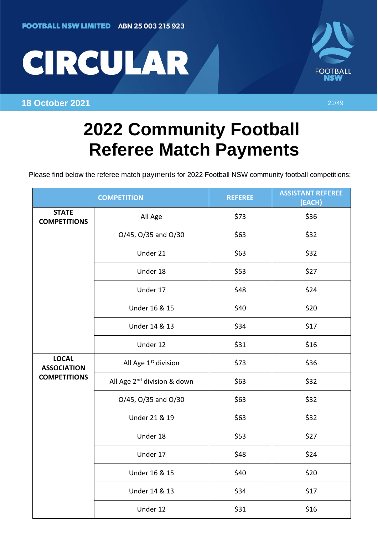



**18 October 2021** 21/49

## **2022 Community Football Referee Match Payments**

Please find below the referee match payments for 2022 Football NSW community football competitions:

| <b>COMPETITION</b>                                        |                                         | <b>REFEREE</b> | <b>ASSISTANT REFEREE</b><br>(EACH) |
|-----------------------------------------------------------|-----------------------------------------|----------------|------------------------------------|
| <b>STATE</b><br><b>COMPETITIONS</b>                       | All Age                                 | \$73           | \$36                               |
|                                                           | O/45, O/35 and O/30                     | \$63           | \$32                               |
|                                                           | Under 21                                | \$63           | \$32                               |
|                                                           | Under 18                                | \$53           | \$27                               |
|                                                           | Under 17                                | \$48           | \$24                               |
|                                                           | Under 16 & 15                           | \$40           | \$20                               |
|                                                           | Under 14 & 13                           | \$34           | \$17                               |
|                                                           | Under 12                                | \$31           | \$16                               |
| <b>LOCAL</b><br><b>ASSOCIATION</b><br><b>COMPETITIONS</b> | All Age 1 <sup>st</sup> division        | \$73           | \$36                               |
|                                                           | All Age 2 <sup>nd</sup> division & down | \$63           | \$32                               |
|                                                           | O/45, O/35 and O/30                     | \$63           | \$32                               |
|                                                           | Under 21 & 19                           | \$63           | \$32                               |
|                                                           | Under 18                                | \$53           | \$27                               |
|                                                           | Under 17                                | \$48           | \$24                               |
|                                                           | Under 16 & 15                           | \$40           | \$20                               |
|                                                           | Under 14 & 13                           | \$34           | \$17                               |
|                                                           | Under 12                                | \$31           | \$16                               |